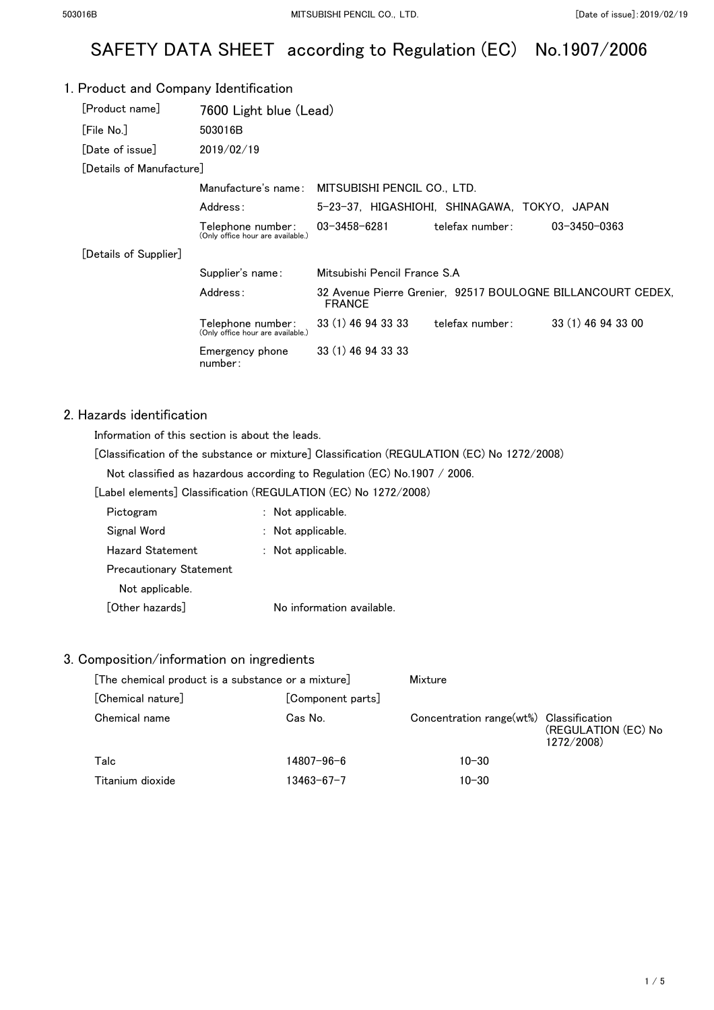# SAFETY DATA SHEET according to Regulation (EC) No.1907/2006

### 1. Product and Company Identification [Product name] 7600 Light blue (Lead) [File No.] 503016B [Date of issue] 2019/02/19 [Details of Manufacture] Manufacture's name: MITSUBISHI PENCIL CO., LTD. Address: 5-23-37, HIGASHIOHI, SHINAGAWA, TOKYO, JAPAN Telephone number: (Only office hour are available.) 03-3458-6281 telefax number: 03-3450-0363 [Details of Supplier] Supplier's name: Mitsubishi Pencil France S.A Address: 32 Avenue Pierre Grenier, 92517 BOULOGNE BILLANCOURT CEDEX, FRANCE Telephone number: (Only office hour are available.) 33 (1) 46 94 33 33 telefax number: 33 (1) 46 94 33 00 Emergency phone number: 33 (1) 46 94 33 33

# 2. Hazards identification

Information of this section is about the leads.

[Classification of the substance or mixture] Classification (REGULATION (EC) No 1272/2008)

Not classified as hazardous according to Regulation (EC) No.1907 / 2006.

[Label elements] Classification (REGULATION (EC) No 1272/2008)

| Pictogram                      | : Not applicable.         |
|--------------------------------|---------------------------|
| Signal Word                    | : Not applicable.         |
| Hazard Statement               | : Not applicable.         |
| <b>Precautionary Statement</b> |                           |
| Not applicable.                |                           |
| [Other hazards]                | No information available. |

#### 3. Composition/information on ingredients

| [The chemical product is a substance or a mixture] |                   | Mixture                                 |                                   |
|----------------------------------------------------|-------------------|-----------------------------------------|-----------------------------------|
| [Chemical nature]                                  | [Component parts] |                                         |                                   |
| Chemical name                                      | Cas No.           | Concentration range(wt%) Classification | (REGULATION (EC) No<br>1272/2008) |
| Talc                                               | 14807-96-6        | $10 - 30$                               |                                   |
| Titanium dioxide                                   | 13463-67-7        | $10 - 30$                               |                                   |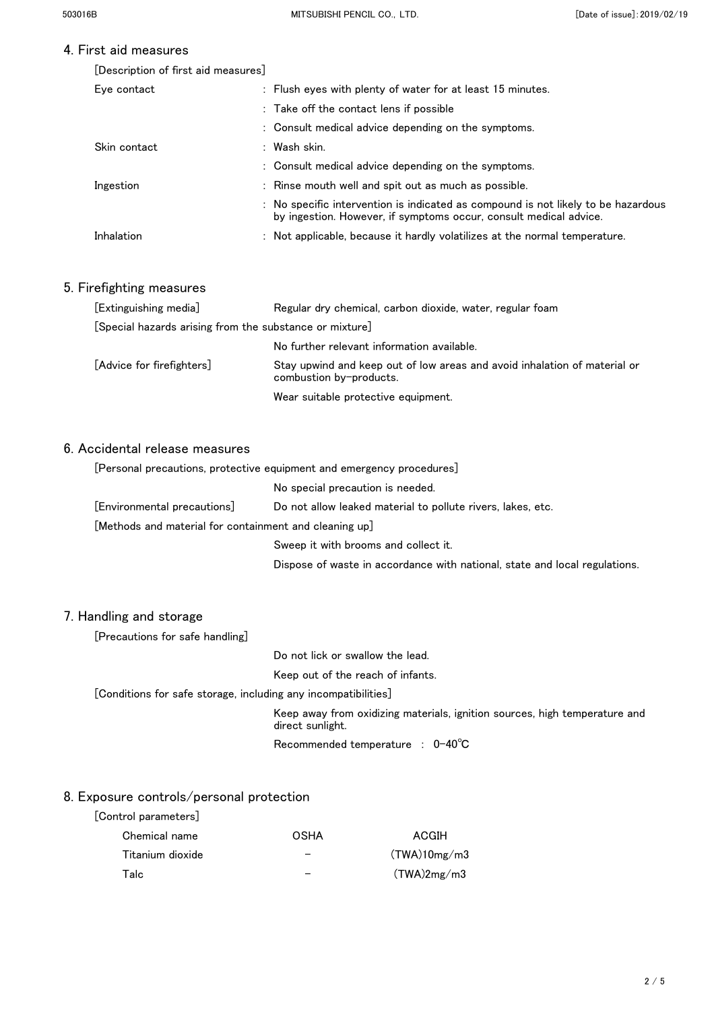# 4. First aid measures

| [Description of first aid measures] |  |  |  |
|-------------------------------------|--|--|--|
|-------------------------------------|--|--|--|

| Eve contact  | : Flush eyes with plenty of water for at least 15 minutes.                                                                                             |
|--------------|--------------------------------------------------------------------------------------------------------------------------------------------------------|
|              | : Take off the contact lens if possible                                                                                                                |
|              | : Consult medical advice depending on the symptoms.                                                                                                    |
| Skin contact | : Wash skin.                                                                                                                                           |
|              | : Consult medical advice depending on the symptoms.                                                                                                    |
| Ingestion    | : Rinse mouth well and spit out as much as possible.                                                                                                   |
|              | : No specific intervention is indicated as compound is not likely to be hazardous<br>by ingestion. However, if symptoms occur, consult medical advice. |
| Inhalation   | : Not applicable, because it hardly volatilizes at the normal temperature.                                                                             |

# 5. Firefighting measures

| [Extinguishing media]                                   | Regular dry chemical, carbon dioxide, water, regular foam                                            |  |
|---------------------------------------------------------|------------------------------------------------------------------------------------------------------|--|
| [Special hazards arising from the substance or mixture] |                                                                                                      |  |
|                                                         | No further relevant information available.                                                           |  |
| [Advice for firefighters]                               | Stay upwind and keep out of low areas and avoid inhalation of material or<br>combustion by-products. |  |
|                                                         | Wear suitable protective equipment.                                                                  |  |

# 6. Accidental release measures

| [Personal precautions, protective equipment and emergency procedures] |                                                             |  |
|-----------------------------------------------------------------------|-------------------------------------------------------------|--|
| No special precaution is needed.                                      |                                                             |  |
| [Environmental precautions]                                           | Do not allow leaked material to pollute rivers, lakes, etc. |  |
| [Methods and material for containment and cleaning up]                |                                                             |  |
| Sweep it with brooms and collect it.                                  |                                                             |  |

Dispose of waste in accordance with national, state and local regulations.

### 7. Handling and storage

[Precautions for safe handling]

Do not lick or swallow the lead.

Keep out of the reach of infants.

[Conditions for safe storage, including any incompatibilities]

Keep away from oxidizing materials, ignition sources, high temperature and direct sunlight.

Recommended temperature : 0-40℃

#### 8. Exposure controls/personal protection

| [Control parameters] |      |              |
|----------------------|------|--------------|
| Chemical name        | OSHA | ACGIH        |
| Titanium dioxide     |      | (TWA)10mg/m3 |
| Talc                 |      | (TWA)2mg/m3  |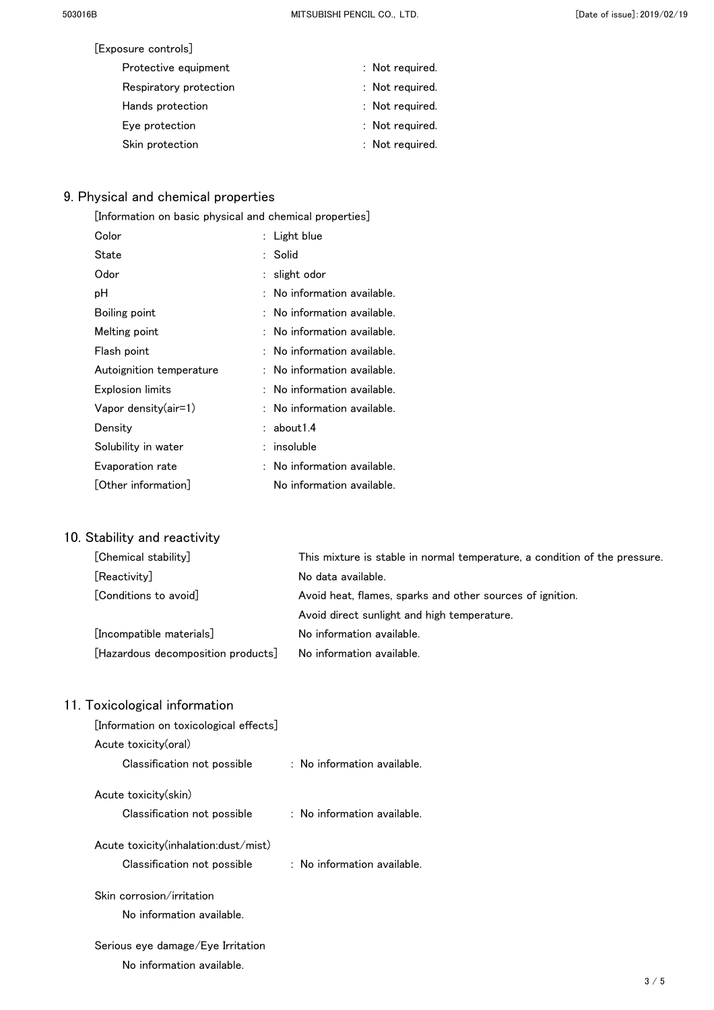| [Exposure controls]    |                 |
|------------------------|-----------------|
| Protective equipment   | : Not required. |
| Respiratory protection | : Not required. |
| Hands protection       | : Not required. |
| Eye protection         | : Not required. |
| Skin protection        | : Not required. |

# 9. Physical and chemical properties

| $\lfloor$ Information on basic physical and chemical properties] |                           |  |
|------------------------------------------------------------------|---------------------------|--|
| Color                                                            | Light blue                |  |
| State                                                            | Solid                     |  |
| Odor                                                             | slight odor               |  |
| рH                                                               | No information available. |  |
| Boiling point                                                    | No information available. |  |
| Melting point                                                    | No information available. |  |
| Flash point                                                      | No information available. |  |
| Autoignition temperature                                         | No information available. |  |
| Explosion limits                                                 | No information available. |  |
| Vapor density(air=1)                                             | No information available. |  |
| Density                                                          | about 1.4                 |  |
| Solubility in water                                              | insoluble                 |  |
| Evaporation rate                                                 | No information available. |  |
| $\lfloor$ Other information $\rfloor$                            | No information available. |  |

# 10. Stability and reactivity

| [Chemical stability]               | This mixture is stable in normal temperature, a condition of the pressure. |
|------------------------------------|----------------------------------------------------------------------------|
| [Reactivity]                       | No data available.                                                         |
| [Conditions to avoid]              | Avoid heat, flames, sparks and other sources of ignition.                  |
|                                    | Avoid direct sunlight and high temperature.                                |
| [Incompatible materials]           | No information available.                                                  |
| [Hazardous decomposition products] | No information available.                                                  |

|  |  |  | 11. Toxicological information |  |
|--|--|--|-------------------------------|--|
|--|--|--|-------------------------------|--|

| [Information on toxicological effects] |                                        |
|----------------------------------------|----------------------------------------|
| Acute toxicity(oral)                   |                                        |
| Classification not possible            | $:$ No information available.          |
| Acute toxicity(skin)                   |                                        |
| Classification not possible            | $\therefore$ No information available. |
| Acute toxicity(inhalation:dust/mist)   |                                        |
| Classification not possible            | $:$ No information available.          |
| Skin corrosion/irritation              |                                        |
| No information available.              |                                        |
| Serious eye damage/Eye Irritation      |                                        |
| No information available.              |                                        |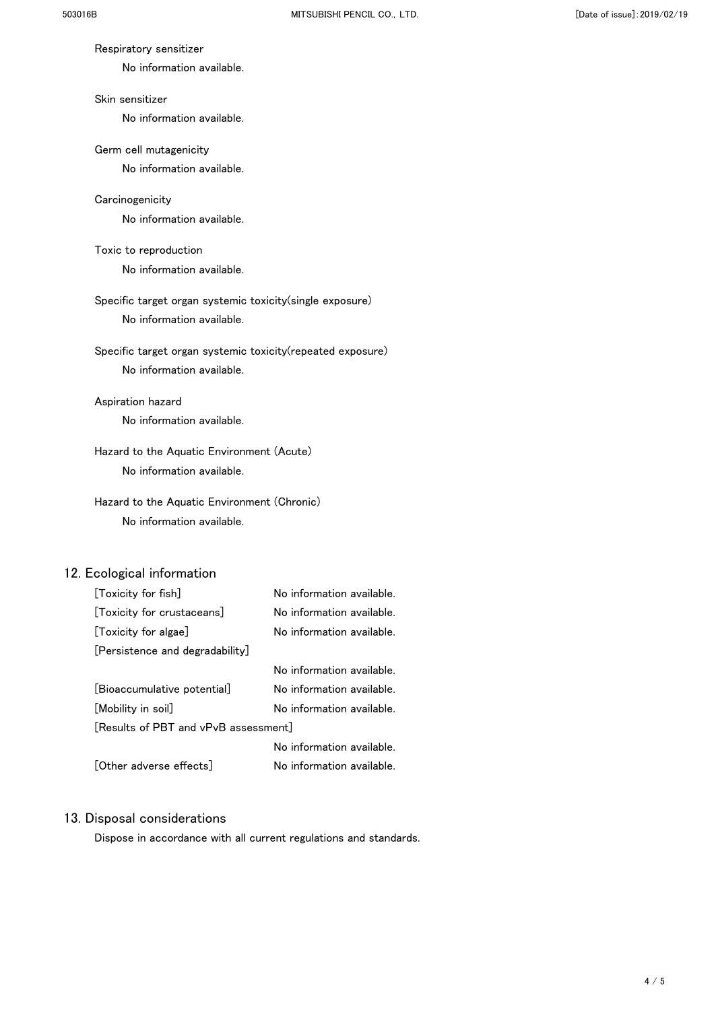#### Respiratory sensitizer

No information available.

### Skin sensitizer

No information available.

#### Germ cell mutagenicity

No information available.

#### **Carcinogenicity**

No information available.

# Toxic to reproduction

No information available.

# Specific target organ systemic toxicity(single exposure) No information available.

# Specific target organ systemic toxicity(repeated exposure) No information available.

# Aspiration hazard

No information available.

# Hazard to the Aquatic Environment (Acute) No information available.

# Hazard to the Aquatic Environment (Chronic) No information available.

# 12. Ecological information

| [Toxicity for fish]                  | No information available. |
|--------------------------------------|---------------------------|
| [Toxicity for crustaceans]           | No information available. |
| [Toxicity for algae]                 | No information available. |
| [Persistence and degradability]      |                           |
|                                      | No information available. |
| [Bioaccumulative potential]          | No information available. |
| [Mobility in soil]                   | No information available. |
| [Results of PBT and vPvB assessment] |                           |
|                                      | No information available. |
| [Other adverse effects]              | No information available. |

# 13. Disposal considerations

Dispose in accordance with all current regulations and standards.